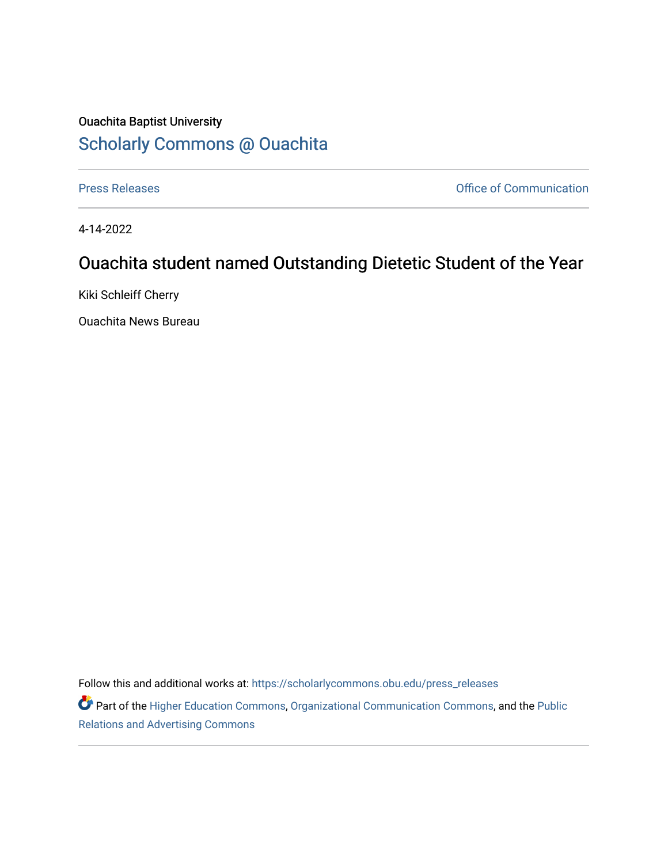## Ouachita Baptist University [Scholarly Commons @ Ouachita](https://scholarlycommons.obu.edu/)

[Press Releases](https://scholarlycommons.obu.edu/press_releases) **Press Releases Communication** 

4-14-2022

## Ouachita student named Outstanding Dietetic Student of the Year

Kiki Schleiff Cherry

Ouachita News Bureau

Follow this and additional works at: [https://scholarlycommons.obu.edu/press\\_releases](https://scholarlycommons.obu.edu/press_releases?utm_source=scholarlycommons.obu.edu%2Fpress_releases%2F1082&utm_medium=PDF&utm_campaign=PDFCoverPages)

Part of the [Higher Education Commons,](http://network.bepress.com/hgg/discipline/1245?utm_source=scholarlycommons.obu.edu%2Fpress_releases%2F1082&utm_medium=PDF&utm_campaign=PDFCoverPages) [Organizational Communication Commons,](http://network.bepress.com/hgg/discipline/335?utm_source=scholarlycommons.obu.edu%2Fpress_releases%2F1082&utm_medium=PDF&utm_campaign=PDFCoverPages) and the [Public](http://network.bepress.com/hgg/discipline/336?utm_source=scholarlycommons.obu.edu%2Fpress_releases%2F1082&utm_medium=PDF&utm_campaign=PDFCoverPages) [Relations and Advertising Commons](http://network.bepress.com/hgg/discipline/336?utm_source=scholarlycommons.obu.edu%2Fpress_releases%2F1082&utm_medium=PDF&utm_campaign=PDFCoverPages)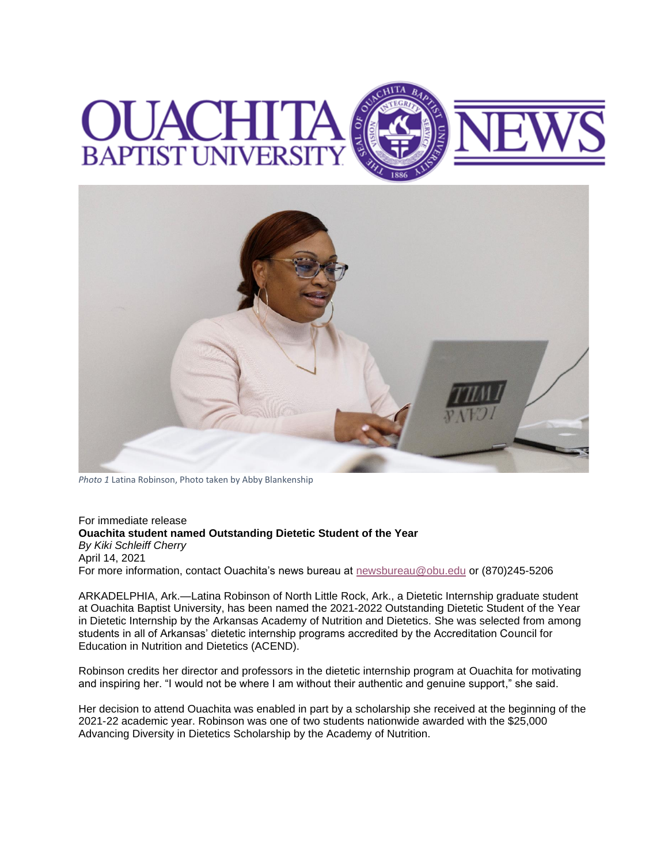



*Photo 1* Latina Robinson, Photo taken by Abby Blankenship

For immediate release **Ouachita student named Outstanding Dietetic Student of the Year** *By Kiki Schleiff Cherry* April 14, 2021 For more information, contact Ouachita's news bureau at [newsbureau@obu.edu](mailto:newsbureau@obu.edu) or (870)245-5206

ARKADELPHIA, Ark.—Latina Robinson of North Little Rock, Ark., a Dietetic Internship graduate student at Ouachita Baptist University, has been named the 2021-2022 Outstanding Dietetic Student of the Year in Dietetic Internship by the Arkansas Academy of Nutrition and Dietetics. She was selected from among students in all of Arkansas' dietetic internship programs accredited by the Accreditation Council for Education in Nutrition and Dietetics (ACEND).

Robinson credits her director and professors in the dietetic internship program at Ouachita for motivating and inspiring her. "I would not be where I am without their authentic and genuine support," she said.

Her decision to attend Ouachita was enabled in part by a scholarship she received at the beginning of the 2021-22 academic year. Robinson was one of two students nationwide awarded with the \$25,000 Advancing Diversity in Dietetics Scholarship by the Academy of Nutrition.